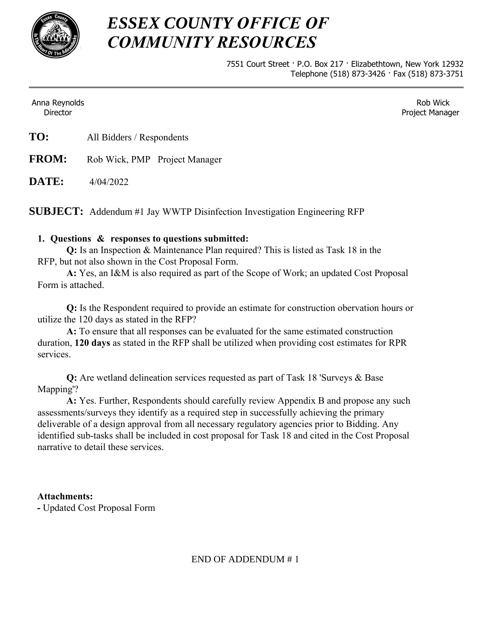

## *ESSEX COUNTY OFFICE OF COMMUNITY RESOURCES*

7551 Court Street · P.O. Box 217 · Elizabethtown, New York 12932 Telephone (518) 873-3426 · Fax (518) 873-3751

Anna Reynolds **Director** 

Rob Wick Project Manager

| TO: | All Bidders / Respondents |
|-----|---------------------------|
|-----|---------------------------|

**FROM:** Rob Wick, PMP Project Manager

**DATE:** 4/04/2022

**SUBJECT:** Addendum #1 Jay WWTP Disinfection Investigation Engineering RFP

## **1. Questions & responses to questions submitted:**

 **Q:** Is an Inspection & Maintenance Plan required? This is listed as Task 18 in the RFP, but not also shown in the Cost Proposal Form.

 **A:** Yes, an I&M is also required as part of the Scope of Work; an updated Cost Proposal Form is attached.

 **Q:** Is the Respondent required to provide an estimate for construction obervation hours or utilize the 120 days as stated in the RFP?

 **A:** To ensure that all responses can be evaluated for the same estimated construction duration, **120 days** as stated in the RFP shall be utilized when providing cost estimates for RPR services.

**Q:** Are wetland delineation services requested as part of Task 18 'Surveys & Base Mapping'?

**A:** Yes. Further, Respondents should carefully review Appendix B and propose any such assessments/surveys they identify as a required step in successfully achieving the primary deliverable of a design approval from all necessary regulatory agencies prior to Bidding. Any identified sub-tasks shall be included in cost proposal for Task 18 and cited in the Cost Proposal narrative to detail these services.

## **Attachments:**

**-** Updated Cost Proposal Form

END OF ADDENDUM # 1